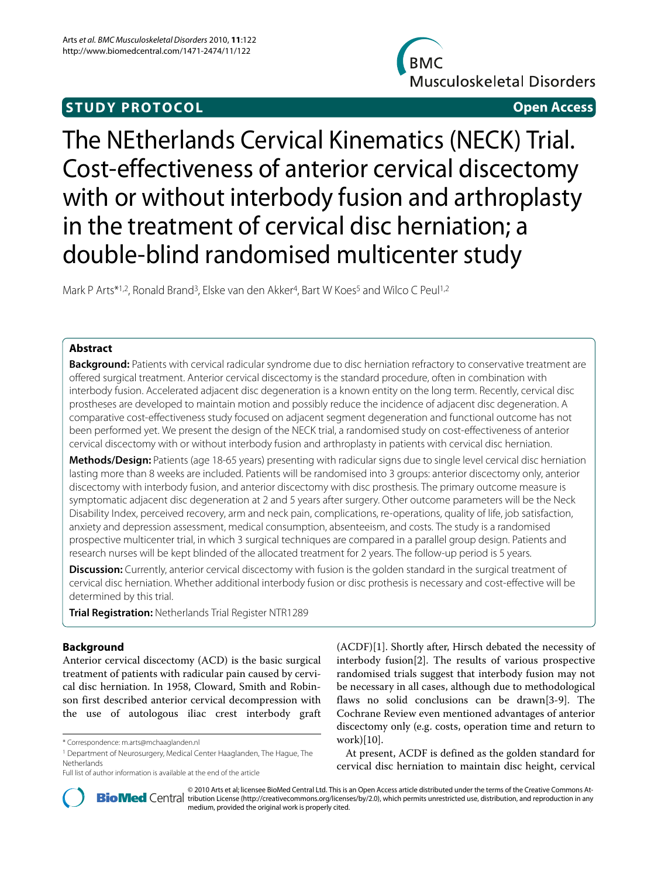# **STUDY PROTOCOL Open Access**



The NEtherlands Cervical Kinematics (NECK) Trial. Cost-effectiveness of anterior cervical discectomy with or without interbody fusion and arthroplasty in the treatment of cervical disc herniation; a double-blind randomised multicenter study

Mark P Arts\*1,2, Ronald Brand3, Elske van den Akker4, Bart W Koes5 and Wilco C Peul1,2

# **Abstract**

**Background:** Patients with cervical radicular syndrome due to disc herniation refractory to conservative treatment are offered surgical treatment. Anterior cervical discectomy is the standard procedure, often in combination with interbody fusion. Accelerated adjacent disc degeneration is a known entity on the long term. Recently, cervical disc prostheses are developed to maintain motion and possibly reduce the incidence of adjacent disc degeneration. A comparative cost-effectiveness study focused on adjacent segment degeneration and functional outcome has not been performed yet. We present the design of the NECK trial, a randomised study on cost-effectiveness of anterior cervical discectomy with or without interbody fusion and arthroplasty in patients with cervical disc herniation.

**Methods/Design:** Patients (age 18-65 years) presenting with radicular signs due to single level cervical disc herniation lasting more than 8 weeks are included. Patients will be randomised into 3 groups: anterior discectomy only, anterior discectomy with interbody fusion, and anterior discectomy with disc prosthesis. The primary outcome measure is symptomatic adjacent disc degeneration at 2 and 5 years after surgery. Other outcome parameters will be the Neck Disability Index, perceived recovery, arm and neck pain, complications, re-operations, quality of life, job satisfaction, anxiety and depression assessment, medical consumption, absenteeism, and costs. The study is a randomised prospective multicenter trial, in which 3 surgical techniques are compared in a parallel group design. Patients and research nurses will be kept blinded of the allocated treatment for 2 years. The follow-up period is 5 years.

**Discussion:** Currently, anterior cervical discectomy with fusion is the golden standard in the surgical treatment of cervical disc herniation. Whether additional interbody fusion or disc prothesis is necessary and cost-effective will be determined by this trial.

**Trial Registration:** Netherlands Trial Register NTR1289

# **Background**

Anterior cervical discectomy (ACD) is the basic surgical treatment of patients with radicular pain caused by cervical disc herniation. In 1958, Cloward, Smith and Robinson first described anterior cervical decompression with the use of autologous iliac crest interbody graft

Full list of author information is available at the end of the article

(ACDF)[[1\]](#page-7-0). Shortly after, Hirsch debated the necessity of interbody fusion[[2](#page-7-1)]. The results of various prospective randomised trials suggest that interbody fusion may not be necessary in all cases, although due to methodological flaws no solid conclusions can be drawn[[3-](#page-7-2)[9](#page-7-3)]. The Cochrane Review even mentioned advantages of anterior discectomy only (e.g. costs, operation time and return to work)[[10\]](#page-7-4).

At present, ACDF is defined as the golden standard for cervical disc herniation to maintain disc height, cervical



© 2010 Arts et al; licensee [BioMed](http://www.biomedcentral.com/) Central Ltd. This is an Open Access article distributed under the terms of the Creative Commons At-<br>Bio Med Central tribution License (http://creativecommons.org/licenses/by/2.0), which medium, provided the original work is properly cited.

<sup>\*</sup> Correspondence: m.arts@mchaaglanden.nl

<sup>1</sup> Department of Neurosurgery, Medical Center Haaglanden, The Hague, The Netherlands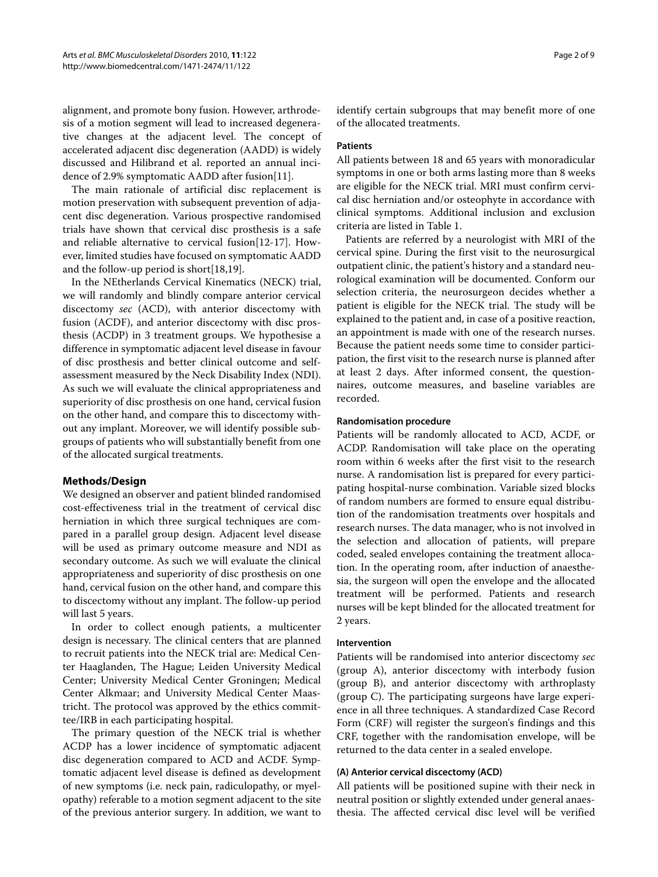alignment, and promote bony fusion. However, arthrodesis of a motion segment will lead to increased degenerative changes at the adjacent level. The concept of accelerated adjacent disc degeneration (AADD) is widely discussed and Hilibrand et al. reported an annual inci-dence of 2.9% symptomatic AADD after fusion[[11](#page-7-5)].

The main rationale of artificial disc replacement is motion preservation with subsequent prevention of adjacent disc degeneration. Various prospective randomised trials have shown that cervical disc prosthesis is a safe and reliable alternative to cervical fusion[\[12](#page-7-6)-[17\]](#page-7-7). However, limited studies have focused on symptomatic AADD and the follow-up period is short[[18,](#page-7-8)[19\]](#page-7-9).

In the NEtherlands Cervical Kinematics (NECK) trial, we will randomly and blindly compare anterior cervical discectomy *sec* (ACD), with anterior discectomy with fusion (ACDF), and anterior discectomy with disc prosthesis (ACDP) in 3 treatment groups. We hypothesise a difference in symptomatic adjacent level disease in favour of disc prosthesis and better clinical outcome and selfassessment measured by the Neck Disability Index (NDI). As such we will evaluate the clinical appropriateness and superiority of disc prosthesis on one hand, cervical fusion on the other hand, and compare this to discectomy without any implant. Moreover, we will identify possible subgroups of patients who will substantially benefit from one of the allocated surgical treatments.

# **Methods/Design**

We designed an observer and patient blinded randomised cost-effectiveness trial in the treatment of cervical disc herniation in which three surgical techniques are compared in a parallel group design. Adjacent level disease will be used as primary outcome measure and NDI as secondary outcome. As such we will evaluate the clinical appropriateness and superiority of disc prosthesis on one hand, cervical fusion on the other hand, and compare this to discectomy without any implant. The follow-up period will last 5 years.

In order to collect enough patients, a multicenter design is necessary. The clinical centers that are planned to recruit patients into the NECK trial are: Medical Center Haaglanden, The Hague; Leiden University Medical Center; University Medical Center Groningen; Medical Center Alkmaar; and University Medical Center Maastricht. The protocol was approved by the ethics committee/IRB in each participating hospital.

The primary question of the NECK trial is whether ACDP has a lower incidence of symptomatic adjacent disc degeneration compared to ACD and ACDF. Symptomatic adjacent level disease is defined as development of new symptoms (i.e. neck pain, radiculopathy, or myelopathy) referable to a motion segment adjacent to the site of the previous anterior surgery. In addition, we want to

identify certain subgroups that may benefit more of one of the allocated treatments.

#### **Patients**

All patients between 18 and 65 years with monoradicular symptoms in one or both arms lasting more than 8 weeks are eligible for the NECK trial. MRI must confirm cervical disc herniation and/or osteophyte in accordance with clinical symptoms. Additional inclusion and exclusion criteria are listed in Table 1.

Patients are referred by a neurologist with MRI of the cervical spine. During the first visit to the neurosurgical outpatient clinic, the patient's history and a standard neurological examination will be documented. Conform our selection criteria, the neurosurgeon decides whether a patient is eligible for the NECK trial. The study will be explained to the patient and, in case of a positive reaction, an appointment is made with one of the research nurses. Because the patient needs some time to consider participation, the first visit to the research nurse is planned after at least 2 days. After informed consent, the questionnaires, outcome measures, and baseline variables are recorded.

#### **Randomisation procedure**

Patients will be randomly allocated to ACD, ACDF, or ACDP. Randomisation will take place on the operating room within 6 weeks after the first visit to the research nurse. A randomisation list is prepared for every participating hospital-nurse combination. Variable sized blocks of random numbers are formed to ensure equal distribution of the randomisation treatments over hospitals and research nurses. The data manager, who is not involved in the selection and allocation of patients, will prepare coded, sealed envelopes containing the treatment allocation. In the operating room, after induction of anaesthesia, the surgeon will open the envelope and the allocated treatment will be performed. Patients and research nurses will be kept blinded for the allocated treatment for 2 years.

#### **Intervention**

Patients will be randomised into anterior discectomy *sec* (group A), anterior discectomy with interbody fusion (group B), and anterior discectomy with arthroplasty (group C). The participating surgeons have large experience in all three techniques. A standardized Case Record Form (CRF) will register the surgeon's findings and this CRF, together with the randomisation envelope, will be returned to the data center in a sealed envelope.

#### **(A) Anterior cervical discectomy (ACD)**

All patients will be positioned supine with their neck in neutral position or slightly extended under general anaesthesia. The affected cervical disc level will be verified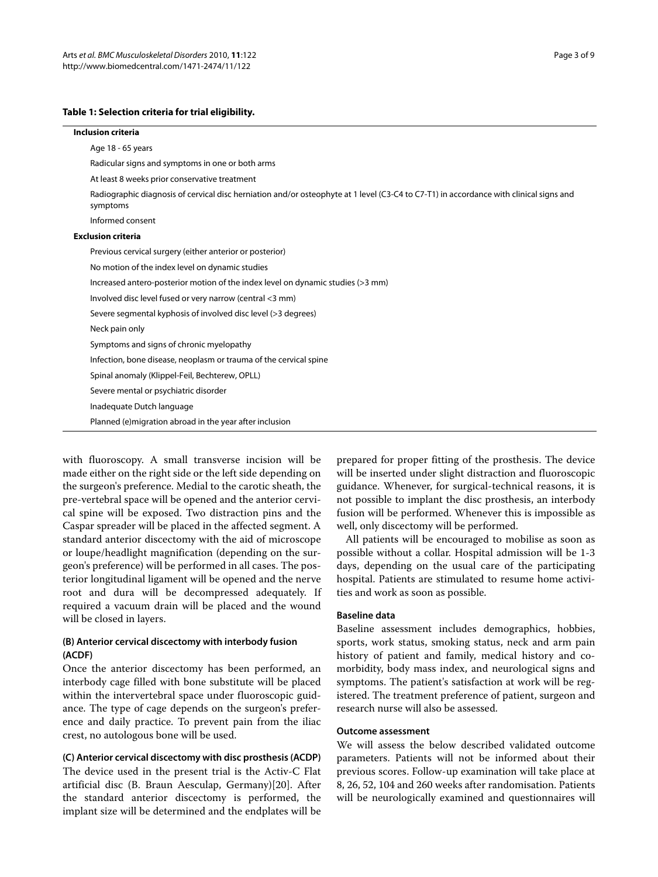#### **Table 1: Selection criteria for trial eligibility.**

| <b>Inclusion criteria</b>                                                                                                                          |
|----------------------------------------------------------------------------------------------------------------------------------------------------|
| Age 18 - 65 years                                                                                                                                  |
| Radicular signs and symptoms in one or both arms                                                                                                   |
| At least 8 weeks prior conservative treatment                                                                                                      |
| Radiographic diagnosis of cervical disc herniation and/or osteophyte at 1 level (C3-C4 to C7-T1) in accordance with clinical signs and<br>symptoms |
| Informed consent                                                                                                                                   |
| <b>Exclusion criteria</b>                                                                                                                          |
| Previous cervical surgery (either anterior or posterior)                                                                                           |
| No motion of the index level on dynamic studies                                                                                                    |
| Increased antero-posterior motion of the index level on dynamic studies (>3 mm)                                                                    |
| Involved disc level fused or very narrow (central <3 mm)                                                                                           |
| Severe segmental kyphosis of involved disc level (>3 degrees)                                                                                      |
| Neck pain only                                                                                                                                     |
| Symptoms and signs of chronic myelopathy                                                                                                           |
| Infection, bone disease, neoplasm or trauma of the cervical spine                                                                                  |
| Spinal anomaly (Klippel-Feil, Bechterew, OPLL)                                                                                                     |
| Severe mental or psychiatric disorder                                                                                                              |
| Inadequate Dutch language                                                                                                                          |
| Planned (e) migration abroad in the year after inclusion                                                                                           |

with fluoroscopy. A small transverse incision will be made either on the right side or the left side depending on the surgeon's preference. Medial to the carotic sheath, the pre-vertebral space will be opened and the anterior cervical spine will be exposed. Two distraction pins and the Caspar spreader will be placed in the affected segment. A standard anterior discectomy with the aid of microscope or loupe/headlight magnification (depending on the surgeon's preference) will be performed in all cases. The posterior longitudinal ligament will be opened and the nerve root and dura will be decompressed adequately. If required a vacuum drain will be placed and the wound will be closed in layers.

# **(B) Anterior cervical discectomy with interbody fusion (ACDF)**

Once the anterior discectomy has been performed, an interbody cage filled with bone substitute will be placed within the intervertebral space under fluoroscopic guidance. The type of cage depends on the surgeon's preference and daily practice. To prevent pain from the iliac crest, no autologous bone will be used.

# **(C) Anterior cervical discectomy with disc prosthesis (ACDP)**

The device used in the present trial is the Activ-C Flat artificial disc (B. Braun Aesculap, Germany)[\[20](#page-7-10)]. After the standard anterior discectomy is performed, the implant size will be determined and the endplates will be

prepared for proper fitting of the prosthesis. The device will be inserted under slight distraction and fluoroscopic guidance. Whenever, for surgical-technical reasons, it is not possible to implant the disc prosthesis, an interbody fusion will be performed. Whenever this is impossible as well, only discectomy will be performed.

All patients will be encouraged to mobilise as soon as possible without a collar. Hospital admission will be 1-3 days, depending on the usual care of the participating hospital. Patients are stimulated to resume home activities and work as soon as possible.

#### **Baseline data**

Baseline assessment includes demographics, hobbies, sports, work status, smoking status, neck and arm pain history of patient and family, medical history and comorbidity, body mass index, and neurological signs and symptoms. The patient's satisfaction at work will be registered. The treatment preference of patient, surgeon and research nurse will also be assessed.

#### **Outcome assessment**

We will assess the below described validated outcome parameters. Patients will not be informed about their previous scores. Follow-up examination will take place at 8, 26, 52, 104 and 260 weeks after randomisation. Patients will be neurologically examined and questionnaires will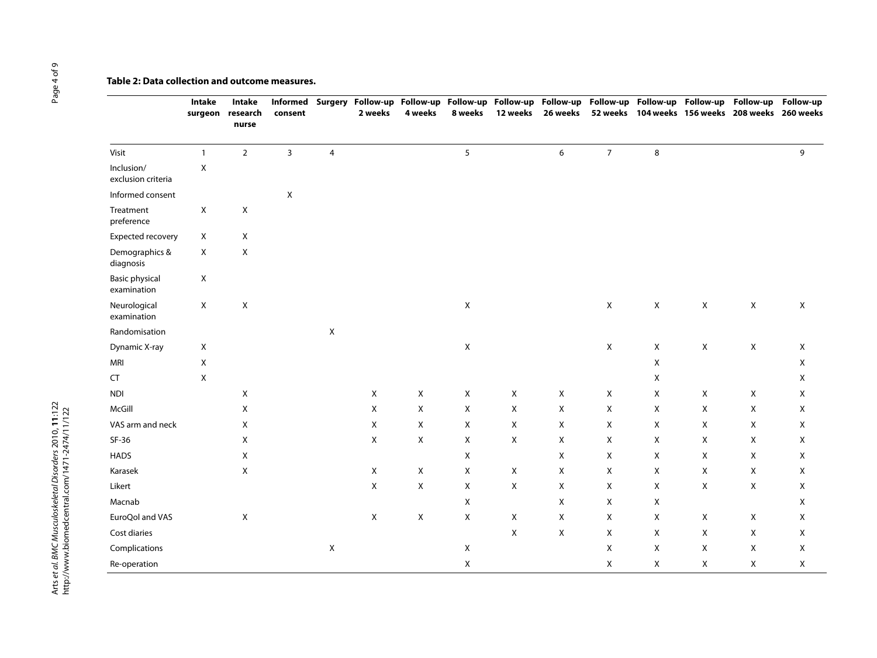# **Table 2: Data collection and outcome measures.**

|                                      | Intake       | Intake             | Informed       | Surgery            |         |         |         |             |                  |                |   | Follow-up Follow-up Follow-up Follow-up Follow-up Follow-up Follow-up Follow-up | Follow-up                                        | Follow-up |
|--------------------------------------|--------------|--------------------|----------------|--------------------|---------|---------|---------|-------------|------------------|----------------|---|---------------------------------------------------------------------------------|--------------------------------------------------|-----------|
|                                      | surgeon      | research<br>nurse  | consent        |                    | 2 weeks | 4 weeks | 8 weeks | 12 weeks    | 26 weeks         |                |   |                                                                                 | 52 weeks 104 weeks 156 weeks 208 weeks 260 weeks |           |
|                                      |              |                    |                |                    |         |         |         |             |                  |                |   |                                                                                 |                                                  |           |
| Visit                                | $\mathbf{1}$ | $\overline{2}$     | $\overline{3}$ | 4                  |         |         | 5       |             | $\boldsymbol{6}$ | $\overline{7}$ | 8 |                                                                                 |                                                  | 9         |
| Inclusion/<br>exclusion criteria     | X            |                    |                |                    |         |         |         |             |                  |                |   |                                                                                 |                                                  |           |
| Informed consent                     |              |                    | X              |                    |         |         |         |             |                  |                |   |                                                                                 |                                                  |           |
| Treatment<br>preference              | X            | X                  |                |                    |         |         |         |             |                  |                |   |                                                                                 |                                                  |           |
| Expected recovery                    | X            | X                  |                |                    |         |         |         |             |                  |                |   |                                                                                 |                                                  |           |
| Demographics &<br>diagnosis          | X            | Χ                  |                |                    |         |         |         |             |                  |                |   |                                                                                 |                                                  |           |
| <b>Basic physical</b><br>examination | X            |                    |                |                    |         |         |         |             |                  |                |   |                                                                                 |                                                  |           |
| Neurological<br>examination          | $\mathsf X$  | $\pmb{\mathsf{X}}$ |                |                    |         |         | X       |             |                  | X              | X | X                                                                               | X                                                | X         |
| Randomisation                        |              |                    |                | X                  |         |         |         |             |                  |                |   |                                                                                 |                                                  |           |
| Dynamic X-ray                        | Χ            |                    |                |                    |         |         | X       |             |                  | $\mathsf X$    | X | X                                                                               | X                                                | Χ         |
| <b>MRI</b>                           | X            |                    |                |                    |         |         |         |             |                  |                | X |                                                                                 |                                                  | X         |
| CT                                   | $\mathsf X$  |                    |                |                    |         |         |         |             |                  |                | X |                                                                                 |                                                  | Χ         |
| <b>NDI</b>                           |              | X                  |                |                    | X       | X       | X       | Χ           | X                | X              | X | X                                                                               | X                                                | X         |
| McGill                               |              | X                  |                |                    | X       | X       | X       | X           | X                | X              | X | X                                                                               | X                                                | X         |
| VAS arm and neck                     |              | X                  |                |                    | X       | X       | X       | X           | X                | X              | X | X                                                                               | X                                                | X         |
| $SF-36$                              |              | X                  |                |                    | X       | X       | X       | X           | X                | X              | X | X                                                                               | X                                                | X         |
| <b>HADS</b>                          |              | X                  |                |                    |         |         | X       |             | Χ                | X              | X | X                                                                               | X                                                | X         |
| Karasek                              |              | Χ                  |                |                    | Χ       | X       | X       | X           | Χ                | X              | X | X                                                                               | X                                                | X         |
| Likert                               |              |                    |                |                    | X       | X       | X       | X           | Χ                | X              | X | X                                                                               | X                                                | Χ         |
| Macnab                               |              |                    |                |                    |         |         | X       |             | X                | X              | X |                                                                                 |                                                  | X         |
| EuroQol and VAS                      |              | $\pmb{\mathsf{X}}$ |                |                    | X       | X       | X       | $\mathsf X$ | X                | X              | X | X                                                                               | X                                                | X         |
| Cost diaries                         |              |                    |                |                    |         |         |         | X           | X                | X              | X | X                                                                               | X                                                | X         |
| Complications                        |              |                    |                | $\pmb{\mathsf{X}}$ |         |         | X       |             |                  | X              | X | X                                                                               | X                                                | X         |
| Re-operation                         |              |                    |                |                    |         |         | X       |             |                  | X              | X | X                                                                               | X                                                | X         |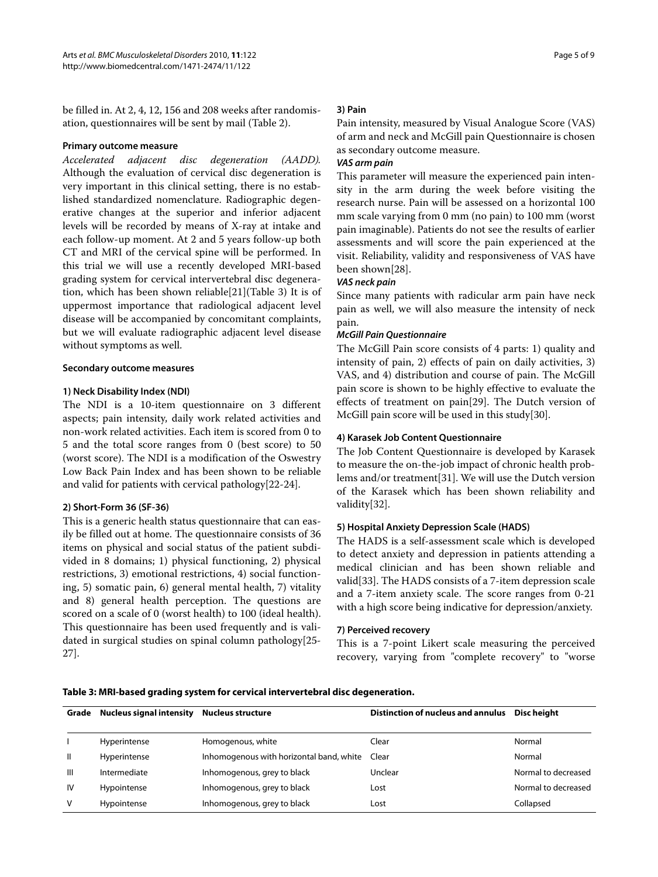be filled in. At 2, 4, 12, 156 and 208 weeks after randomisation, questionnaires will be sent by mail (Table 2).

#### **Primary outcome measure**

*Accelerated adjacent disc degeneration (AADD).* Although the evaluation of cervical disc degeneration is very important in this clinical setting, there is no established standardized nomenclature. Radiographic degenerative changes at the superior and inferior adjacent levels will be recorded by means of X-ray at intake and each follow-up moment. At 2 and 5 years follow-up both CT and MRI of the cervical spine will be performed. In this trial we will use a recently developed MRI-based grading system for cervical intervertebral disc degeneration, which has been shown reliable[[21\]](#page-7-11)(Table 3) It is of uppermost importance that radiological adjacent level disease will be accompanied by concomitant complaints, but we will evaluate radiographic adjacent level disease without symptoms as well.

#### **Secondary outcome measures**

# **1) Neck Disability Index (NDI)**

The NDI is a 10-item questionnaire on 3 different aspects; pain intensity, daily work related activities and non-work related activities. Each item is scored from 0 to 5 and the total score ranges from 0 (best score) to 50 (worst score). The NDI is a modification of the Oswestry Low Back Pain Index and has been shown to be reliable and valid for patients with cervical pathology[\[22](#page-7-12)-[24\]](#page-7-13).

# **2) Short-Form 36 (SF-36)**

This is a generic health status questionnaire that can easily be filled out at home. The questionnaire consists of 36 items on physical and social status of the patient subdivided in 8 domains; 1) physical functioning, 2) physical restrictions, 3) emotional restrictions, 4) social functioning, 5) somatic pain, 6) general mental health, 7) vitality and 8) general health perception. The questions are scored on a scale of 0 (worst health) to 100 (ideal health). This questionnaire has been used frequently and is validated in surgical studies on spinal column pathology[\[25-](#page-7-14) [27](#page-7-15)].

#### **3) Pain**

Pain intensity, measured by Visual Analogue Score (VAS) of arm and neck and McGill pain Questionnaire is chosen as secondary outcome measure.

# **VAS arm pain**

This parameter will measure the experienced pain intensity in the arm during the week before visiting the research nurse. Pain will be assessed on a horizontal 100 mm scale varying from 0 mm (no pain) to 100 mm (worst pain imaginable). Patients do not see the results of earlier assessments and will score the pain experienced at the visit. Reliability, validity and responsiveness of VAS have been shown[[28\]](#page-7-16).

# **VAS neck pain**

Since many patients with radicular arm pain have neck pain as well, we will also measure the intensity of neck pain.

#### **McGill Pain Questionnaire**

The McGill Pain score consists of 4 parts: 1) quality and intensity of pain, 2) effects of pain on daily activities, 3) VAS, and 4) distribution and course of pain. The McGill pain score is shown to be highly effective to evaluate the effects of treatment on pain[[29](#page-8-0)]. The Dutch version of McGill pain score will be used in this study[\[30\]](#page-8-1).

# **4) Karasek Job Content Questionnaire**

The Job Content Questionnaire is developed by Karasek to measure the on-the-job impact of chronic health problems and/or treatment[\[31](#page-8-2)]. We will use the Dutch version of the Karasek which has been shown reliability and validity[[32\]](#page-8-3).

# **5) Hospital Anxiety Depression Scale (HADS)**

The HADS is a self-assessment scale which is developed to detect anxiety and depression in patients attending a medical clinician and has been shown reliable and valid[\[33](#page-8-4)]. The HADS consists of a 7-item depression scale and a 7-item anxiety scale. The score ranges from 0-21 with a high score being indicative for depression/anxiety.

#### **7) Perceived recovery**

This is a 7-point Likert scale measuring the perceived recovery, varying from "complete recovery" to "worse

#### **Table 3: MRI-based grading system for cervical intervertebral disc degeneration.**

| Grade | <b>Nucleus signal intensity</b> | <b>Nucleus structure</b>                 | <b>Distinction of nucleus and annulus</b> | Disc height         |
|-------|---------------------------------|------------------------------------------|-------------------------------------------|---------------------|
|       | Hyperintense                    | Homogenous, white                        | Clear                                     | Normal              |
| Ш     | Hyperintense                    | Inhomogenous with horizontal band, white | Clear                                     | Normal              |
| Ш     | Intermediate                    | Inhomogenous, grey to black              | Unclear                                   | Normal to decreased |
| IV    | Hypointense                     | Inhomogenous, grey to black              | Lost                                      | Normal to decreased |
| v     | Hypointense                     | Inhomogenous, grey to black              | Lost                                      | Collapsed           |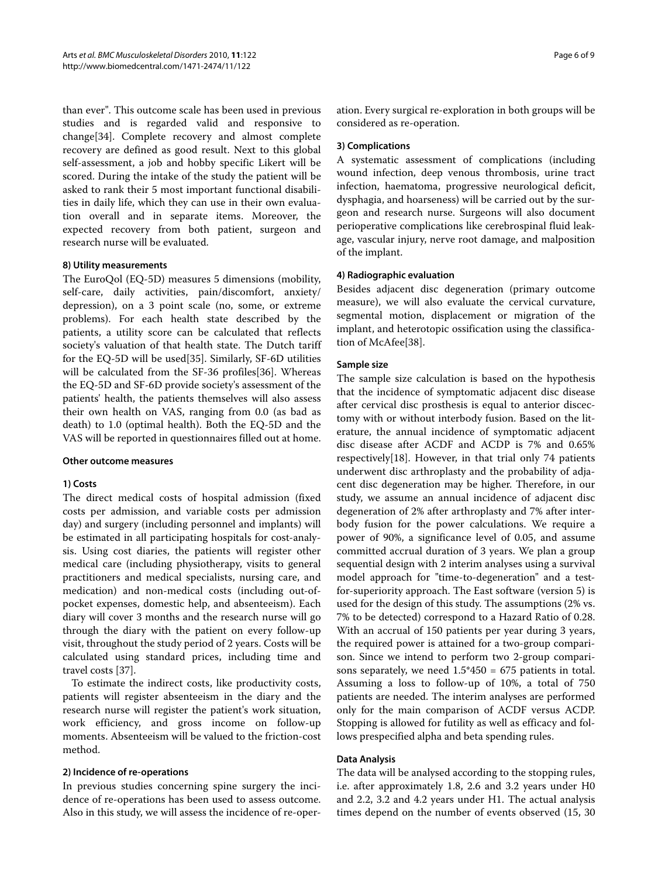than ever". This outcome scale has been used in previous studies and is regarded valid and responsive to change[[34\]](#page-8-5). Complete recovery and almost complete recovery are defined as good result. Next to this global self-assessment, a job and hobby specific Likert will be scored. During the intake of the study the patient will be asked to rank their 5 most important functional disabilities in daily life, which they can use in their own evaluation overall and in separate items. Moreover, the expected recovery from both patient, surgeon and research nurse will be evaluated.

#### **8) Utility measurements**

The EuroQol (EQ-5D) measures 5 dimensions (mobility, self-care, daily activities, pain/discomfort, anxiety/ depression), on a 3 point scale (no, some, or extreme problems). For each health state described by the patients, a utility score can be calculated that reflects society's valuation of that health state. The Dutch tariff for the EQ-5D will be used[[35\]](#page-8-6). Similarly, SF-6D utilities will be calculated from the SF-36 profiles[\[36\]](#page-8-7). Whereas the EQ-5D and SF-6D provide society's assessment of the patients' health, the patients themselves will also assess their own health on VAS, ranging from 0.0 (as bad as death) to 1.0 (optimal health). Both the EQ-5D and the VAS will be reported in questionnaires filled out at home.

#### **Other outcome measures**

# **1) Costs**

The direct medical costs of hospital admission (fixed costs per admission, and variable costs per admission day) and surgery (including personnel and implants) will be estimated in all participating hospitals for cost-analysis. Using cost diaries, the patients will register other medical care (including physiotherapy, visits to general practitioners and medical specialists, nursing care, and medication) and non-medical costs (including out-ofpocket expenses, domestic help, and absenteeism). Each diary will cover 3 months and the research nurse will go through the diary with the patient on every follow-up visit, throughout the study period of 2 years. Costs will be calculated using standard prices, including time and travel costs [[37\]](#page-8-8).

To estimate the indirect costs, like productivity costs, patients will register absenteeism in the diary and the research nurse will register the patient's work situation, work efficiency, and gross income on follow-up moments. Absenteeism will be valued to the friction-cost method.

#### **2) Incidence of re-operations**

In previous studies concerning spine surgery the incidence of re-operations has been used to assess outcome. Also in this study, we will assess the incidence of re-operation. Every surgical re-exploration in both groups will be considered as re-operation.

#### **3) Complications**

A systematic assessment of complications (including wound infection, deep venous thrombosis, urine tract infection, haematoma, progressive neurological deficit, dysphagia, and hoarseness) will be carried out by the surgeon and research nurse. Surgeons will also document perioperative complications like cerebrospinal fluid leakage, vascular injury, nerve root damage, and malposition of the implant.

# **4) Radiographic evaluation**

Besides adjacent disc degeneration (primary outcome measure), we will also evaluate the cervical curvature, segmental motion, displacement or migration of the implant, and heterotopic ossification using the classification of McAfee[\[38](#page-8-9)].

# **Sample size**

The sample size calculation is based on the hypothesis that the incidence of symptomatic adjacent disc disease after cervical disc prosthesis is equal to anterior discectomy with or without interbody fusion. Based on the literature, the annual incidence of symptomatic adjacent disc disease after ACDF and ACDP is 7% and 0.65% respectively[\[18](#page-7-8)]. However, in that trial only 74 patients underwent disc arthroplasty and the probability of adjacent disc degeneration may be higher. Therefore, in our study, we assume an annual incidence of adjacent disc degeneration of 2% after arthroplasty and 7% after interbody fusion for the power calculations. We require a power of 90%, a significance level of 0.05, and assume committed accrual duration of 3 years. We plan a group sequential design with 2 interim analyses using a survival model approach for "time-to-degeneration" and a testfor-superiority approach. The East software (version 5) is used for the design of this study. The assumptions (2% vs. 7% to be detected) correspond to a Hazard Ratio of 0.28. With an accrual of 150 patients per year during 3 years, the required power is attained for a two-group comparison. Since we intend to perform two 2-group comparisons separately, we need  $1.5*450 = 675$  patients in total. Assuming a loss to follow-up of 10%, a total of 750 patients are needed. The interim analyses are performed only for the main comparison of ACDF versus ACDP. Stopping is allowed for futility as well as efficacy and follows prespecified alpha and beta spending rules.

#### **Data Analysis**

The data will be analysed according to the stopping rules, i.e. after approximately 1.8, 2.6 and 3.2 years under H0 and 2.2, 3.2 and 4.2 years under H1. The actual analysis times depend on the number of events observed (15, 30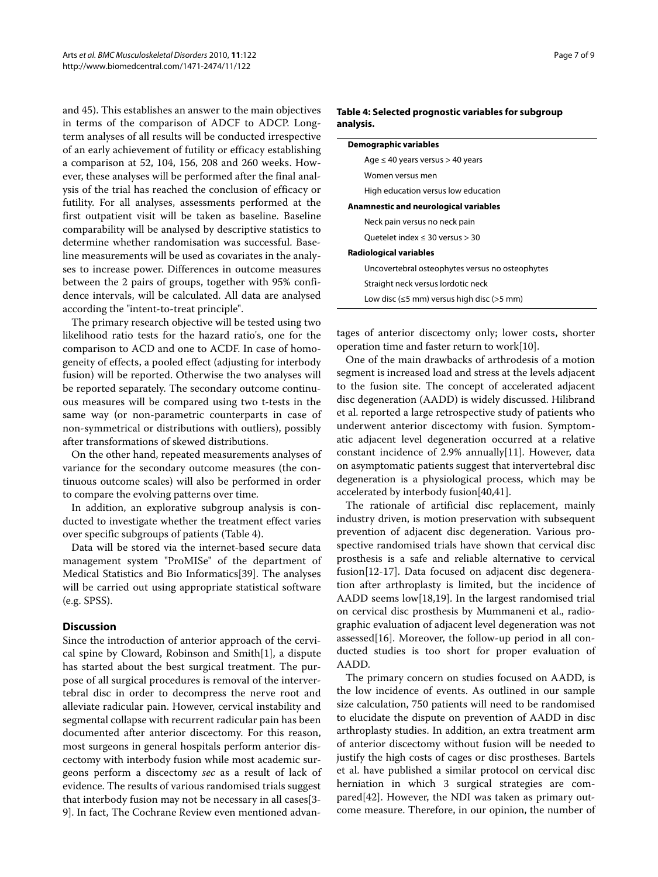and 45). This establishes an answer to the main objectives in terms of the comparison of ADCF to ADCP. Longterm analyses of all results will be conducted irrespective of an early achievement of futility or efficacy establishing a comparison at 52, 104, 156, 208 and 260 weeks. However, these analyses will be performed after the final analysis of the trial has reached the conclusion of efficacy or futility. For all analyses, assessments performed at the first outpatient visit will be taken as baseline. Baseline comparability will be analysed by descriptive statistics to determine whether randomisation was successful. Baseline measurements will be used as covariates in the analyses to increase power. Differences in outcome measures between the 2 pairs of groups, together with 95% confidence intervals, will be calculated. All data are analysed according the "intent-to-treat principle".

The primary research objective will be tested using two likelihood ratio tests for the hazard ratio's, one for the comparison to ACD and one to ACDF. In case of homogeneity of effects, a pooled effect (adjusting for interbody fusion) will be reported. Otherwise the two analyses will be reported separately. The secondary outcome continuous measures will be compared using two t-tests in the same way (or non-parametric counterparts in case of non-symmetrical or distributions with outliers), possibly after transformations of skewed distributions.

On the other hand, repeated measurements analyses of variance for the secondary outcome measures (the continuous outcome scales) will also be performed in order to compare the evolving patterns over time.

In addition, an explorative subgroup analysis is conducted to investigate whether the treatment effect varies over specific subgroups of patients (Table 4).

Data will be stored via the internet-based secure data management system "ProMISe" of the department of Medical Statistics and Bio Informatics[[39\]](#page-8-10). The analyses will be carried out using appropriate statistical software (e.g. SPSS).

#### **Discussion**

Since the introduction of anterior approach of the cervical spine by Cloward, Robinson and Smith[[1\]](#page-7-0), a dispute has started about the best surgical treatment. The purpose of all surgical procedures is removal of the intervertebral disc in order to decompress the nerve root and alleviate radicular pain. However, cervical instability and segmental collapse with recurrent radicular pain has been documented after anterior discectomy. For this reason, most surgeons in general hospitals perform anterior discectomy with interbody fusion while most academic surgeons perform a discectomy *sec* as a result of lack of evidence. The results of various randomised trials suggest that interbody fusion may not be necessary in all cases[\[3-](#page-7-2) [9\]](#page-7-3). In fact, The Cochrane Review even mentioned advan-

#### **Table 4: Selected prognostic variables for subgroup analysis.**

| Demographic variables                                |  |  |  |  |
|------------------------------------------------------|--|--|--|--|
| Age $\leq$ 40 years versus $>$ 40 years              |  |  |  |  |
| Women versus men                                     |  |  |  |  |
| High education versus low education                  |  |  |  |  |
| Anamnestic and neurological variables                |  |  |  |  |
| Neck pain versus no neck pain                        |  |  |  |  |
| Ouetelet index $\leq$ 30 versus $>$ 30               |  |  |  |  |
| Radiological variables                               |  |  |  |  |
| Uncovertebral osteophytes versus no osteophytes      |  |  |  |  |
| Straight neck versus lordotic neck                   |  |  |  |  |
| Low disc ( $\leq$ 5 mm) versus high disc ( $>$ 5 mm) |  |  |  |  |

tages of anterior discectomy only; lower costs, shorter operation time and faster return to work[[10\]](#page-7-4).

One of the main drawbacks of arthrodesis of a motion segment is increased load and stress at the levels adjacent to the fusion site. The concept of accelerated adjacent disc degeneration (AADD) is widely discussed. Hilibrand et al. reported a large retrospective study of patients who underwent anterior discectomy with fusion. Symptomatic adjacent level degeneration occurred at a relative constant incidence of 2.9% annually[[11](#page-7-5)]. However, data on asymptomatic patients suggest that intervertebral disc degeneration is a physiological process, which may be accelerated by interbody fusion[\[40](#page-8-11)[,41](#page-8-12)].

The rationale of artificial disc replacement, mainly industry driven, is motion preservation with subsequent prevention of adjacent disc degeneration. Various prospective randomised trials have shown that cervical disc prosthesis is a safe and reliable alternative to cervical fusion[\[12](#page-7-6)-[17\]](#page-7-7). Data focused on adjacent disc degeneration after arthroplasty is limited, but the incidence of AADD seems low[[18,](#page-7-8)[19\]](#page-7-9). In the largest randomised trial on cervical disc prosthesis by Mummaneni et al., radiographic evaluation of adjacent level degeneration was not assessed[\[16](#page-7-17)]. Moreover, the follow-up period in all conducted studies is too short for proper evaluation of AADD.

The primary concern on studies focused on AADD, is the low incidence of events. As outlined in our sample size calculation, 750 patients will need to be randomised to elucidate the dispute on prevention of AADD in disc arthroplasty studies. In addition, an extra treatment arm of anterior discectomy without fusion will be needed to justify the high costs of cages or disc prostheses. Bartels et al. have published a similar protocol on cervical disc herniation in which 3 surgical strategies are compared[\[42](#page-8-13)]. However, the NDI was taken as primary outcome measure. Therefore, in our opinion, the number of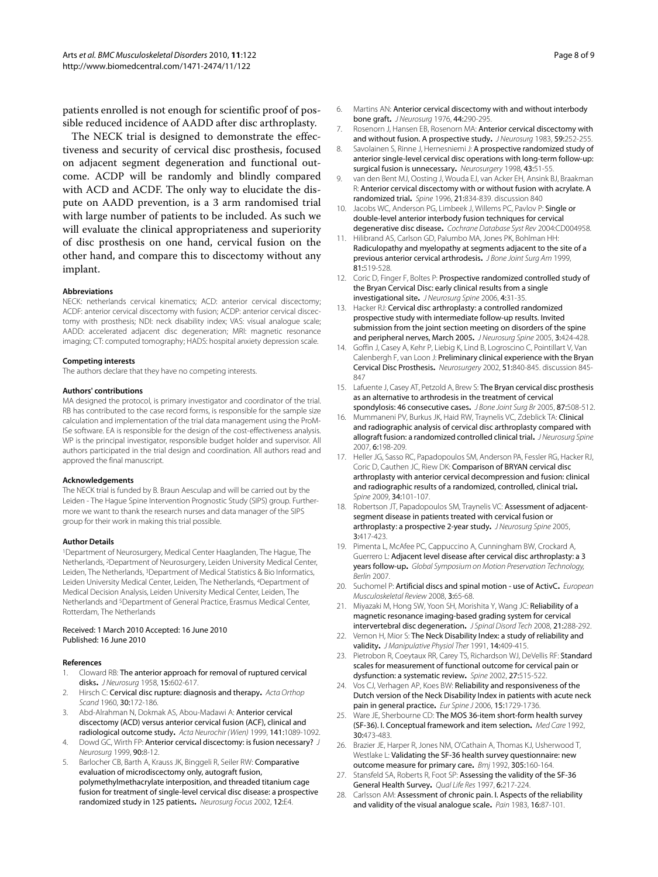patients enrolled is not enough for scientific proof of possible reduced incidence of AADD after disc arthroplasty.

The NECK trial is designed to demonstrate the effectiveness and security of cervical disc prosthesis, focused on adjacent segment degeneration and functional outcome. ACDP will be randomly and blindly compared with ACD and ACDF. The only way to elucidate the dispute on AADD prevention, is a 3 arm randomised trial with large number of patients to be included. As such we will evaluate the clinical appropriateness and superiority of disc prosthesis on one hand, cervical fusion on the other hand, and compare this to discectomy without any implant.

#### **Abbreviations**

NECK: netherlands cervical kinematics; ACD: anterior cervical discectomy; ACDF: anterior cervical discectomy with fusion; ACDP: anterior cervical discectomy with prosthesis; NDI: neck disability index; VAS: visual analogue scale; AADD: accelerated adjacent disc degeneration; MRI: magnetic resonance imaging; CT: computed tomography; HADS: hospital anxiety depression scale.

#### **Competing interests**

The authors declare that they have no competing interests.

#### **Authors' contributions**

MA designed the protocol, is primary investigator and coordinator of the trial. RB has contributed to the case record forms, is responsible for the sample size calculation and implementation of the trial data management using the ProM-ISe software. EA is responsible for the design of the cost-effectiveness analysis. WP is the principal investigator, responsible budget holder and supervisor. All authors participated in the trial design and coordination. All authors read and approved the final manuscript.

#### **Acknowledgements**

The NECK trial is funded by B. Braun Aesculap and will be carried out by the Leiden - The Hague Spine Intervention Prognostic Study (SIPS) group. Furthermore we want to thank the research nurses and data manager of the SIPS group for their work in making this trial possible.

#### **Author Details**

1Department of Neurosurgery, Medical Center Haaglanden, The Hague, The Netherlands, 2Department of Neurosurgery, Leiden University Medical Center, Leiden, The Netherlands, 3Department of Medical Statistics & Bio Informatics, Leiden University Medical Center, Leiden, The Netherlands, 4Department of Medical Decision Analysis, Leiden University Medical Center, Leiden, The Netherlands and 5Department of General Practice, Erasmus Medical Center, Rotterdam, The Netherlands

#### Received: 1 March 2010 Accepted: 16 June 2010 Published: 16 June 2010

#### **References**

- <span id="page-7-0"></span>1. Cloward RB: The anterior approach for removal of ruptured cervical disks**.** J Neurosurg 1958, 15:602-617.
- <span id="page-7-1"></span>2. Hirsch C: Cervical disc rupture: diagnosis and therapy**.** Acta Orthop Scand 1960, 30:172-186.
- <span id="page-7-2"></span>Abd-Alrahman N, Dokmak AS, Abou-Madawi A: Anterior cervical discectomy (ACD) versus anterior cervical fusion (ACF), clinical and radiological outcome study**.** Acta Neurochir (Wien) 1999, 141:1089-1092.
- 4. Dowd GC, Wirth FP: Anterior cervical discectomy: is fusion necessary? J Neurosurg 1999, 90:8-12.
- Barlocher CB, Barth A, Krauss JK, Binggeli R, Seiler RW: Comparative evaluation of microdiscectomy only, autograft fusion, polymethylmethacrylate interposition, and threaded titanium cage fusion for treatment of single-level cervical disc disease: a prospective randomized study in 125 patients**.** Neurosurg Focus 2002, 12:E4.
- 6. Martins AN: Anterior cervical discectomy with and without interbody bone graf[t](http://www.ncbi.nlm.nih.gov/entrez/query.fcgi?cmd=Retrieve&db=PubMed&dopt=Abstract&list_uids=765435)**.** J Neurosurg 1976, 44:290-295.
- 7. Rosenorn J, Hansen EB, Rosenorn MA: Anterior cervical discectomy with and without fusion. A prospective study**.** J Neurosurg 1983, 59:252-255.
- 8. Savolainen S, Rinne J, Hernesniemi J: A prospective randomized study of anterior single-level cervical disc operations with long-term follow-up: surgical fusion is unnecessary**.** Neurosurgery 1998, 43:51-55.
- <span id="page-7-3"></span>9. van den Bent MJ, Oosting J, Wouda EJ, van Acker EH, Ansink BJ, Braakman R: Anterior cervical discectomy with or without fusion with acrylate. A randomized trial**.** Spine 1996, 21:834-839. discussion 840
- <span id="page-7-4"></span>10. Jacobs WC, Anderson PG, Limbeek J, Willems PC, Pavlov P: Single or double-level anterior interbody fusion techniques for cervical degenerative disc disease**.** Cochrane Database Syst Rev 2004:CD004958.
- <span id="page-7-5"></span>11. Hilibrand AS, Carlson GD, Palumbo MA, Jones PK, Bohlman HH: Radiculopathy and myelopathy at segments adjacent to the site of a previous anterior cervical arthrodesis**.** J Bone Joint Surg Am 1999, 81:519-528.
- <span id="page-7-6"></span>12. Coric D, Finger F, Boltes P: Prospective randomized controlled study of the Bryan Cervical Disc: early clinical results from a single investigational site**.** J Neurosurg Spine 2006, 4:31-35.
- 13. Hacker RJ: Cervical disc arthroplasty: a controlled randomized prospective study with intermediate follow-up results. Invited submission from the joint section meeting on disorders of the spine and peripheral nerves, March 2005**.** J Neurosurg Spine 2005, 3:424-428.
- 14. Goffin J, Casey A, Kehr P, Liebig K, Lind B, Logroscino C, Pointillart V, Van Calenbergh F, van Loon J: Preliminary clinical experience with the Bryan Cervical Disc Prosthesis**.** Neurosurgery 2002, 51:840-845. discussion 845- 847
- 15. Lafuente J, Casey AT, Petzold A, Brew S: The Bryan cervical disc prosthesis as an alternative to arthrodesis in the treatment of cervical spondylosis: 46 consecutive case[s](http://www.ncbi.nlm.nih.gov/entrez/query.fcgi?cmd=Retrieve&db=PubMed&dopt=Abstract&list_uids=15795201)**.** J Bone Joint Surg Br 2005, 87:508-512.
- <span id="page-7-17"></span>16. Mummaneni PV, Burkus JK, Haid RW, Traynelis VC, Zdeblick TA: Clinical and radiographic analysis of cervical disc arthroplasty compared with allograft fusion: a randomized controlled clinical trial**.** J Neurosurg Spine 2007, 6:198-209.
- <span id="page-7-7"></span>17. Heller JG, Sasso RC, Papadopoulos SM, Anderson PA, Fessler RG, Hacker RJ, Coric D, Cauthen JC, Riew DK: Comparison of BRYAN cervical disc arthroplasty with anterior cervical decompression and fusion: clinical and radiographic results of a randomized, controlled, clinical trial**.** Spine 2009, 34:101-107.
- <span id="page-7-8"></span>18. Robertson JT, Papadopoulos SM, Traynelis VC: Assessment of adjacentsegment disease in patients treated with cervical fusion or arthroplasty: a prospective 2-year study**.** J Neurosurg Spine 2005, 3:417-423.
- <span id="page-7-9"></span>19. Pimenta L, McAfee PC, Cappuccino A, Cunningham BW, Crockard A, Guerrero L: Adjacent level disease after cervical disc arthroplasty: a 3 years follow-up**.** Global Symposium on Motion Preservation Technology, Berlin 2007.
- <span id="page-7-10"></span>20. Suchomel P: Artificial discs and spinal motion - use of ActivC**.** European Musculoskeletal Review 2008, 3:65-68.
- <span id="page-7-11"></span>21. Miyazaki M, Hong SW, Yoon SH, Morishita Y. Wang JC: Reliability of a magnetic resonance imaging-based grading system for cervical intervertebral disc degeneration**[.](http://www.ncbi.nlm.nih.gov/entrez/query.fcgi?cmd=Retrieve&db=PubMed&dopt=Abstract&list_uids=18525490)** J Spinal Disord Tech 2008, 21:288-292.
- <span id="page-7-12"></span>22. Vernon H, Mior S: The Neck Disability Index: a study of reliability and validity**[.](http://www.ncbi.nlm.nih.gov/entrez/query.fcgi?cmd=Retrieve&db=PubMed&dopt=Abstract&list_uids=1834753)** J Manipulative Physiol Ther 1991, 14:409-415.
- 23. Pietrobon R, Coeytaux RR, Carey TS, Richardson WJ, DeVellis RF: Standard scales for measurement of functional outcome for cervical pain or dysfunction: a systematic review**.** Spine 2002, 27:515-522.
- <span id="page-7-13"></span>24. Vos CJ, Verhagen AP, Koes BW: Reliability and responsiveness of the Dutch version of the Neck Disability Index in patients with acute neck pain in general practice**.** Eur Spine J 2006, 15:1729-1736.
- <span id="page-7-14"></span>25. Ware JE, Sherbourne CD: The MOS 36-item short-form health survey (SF-36). I. Conceptual framework and item selection**.** Med Care 1992, 30:473-483.
- 26. Brazier JE, Harper R, Jones NM, O'Cathain A, Thomas KJ, Usherwood T, Westlake L: Validating the SF-36 health survey questionnaire: new outcome measure for primary care**.** Bmj 1992, 305:160-164.
- <span id="page-7-15"></span>27. Stansfeld SA, Roberts R, Foot SP: Assessing the validity of the SF-36 General Health Survey**.** Qual Life Res 1997, 6:217-224.
- <span id="page-7-16"></span>28. Carlsson AM: Assessment of chronic pain. I. Aspects of the reliability and validity of the visual analogue scale**[.](http://www.ncbi.nlm.nih.gov/entrez/query.fcgi?cmd=Retrieve&db=PubMed&dopt=Abstract&list_uids=6602967)** Pain 1983, 16:87-101.